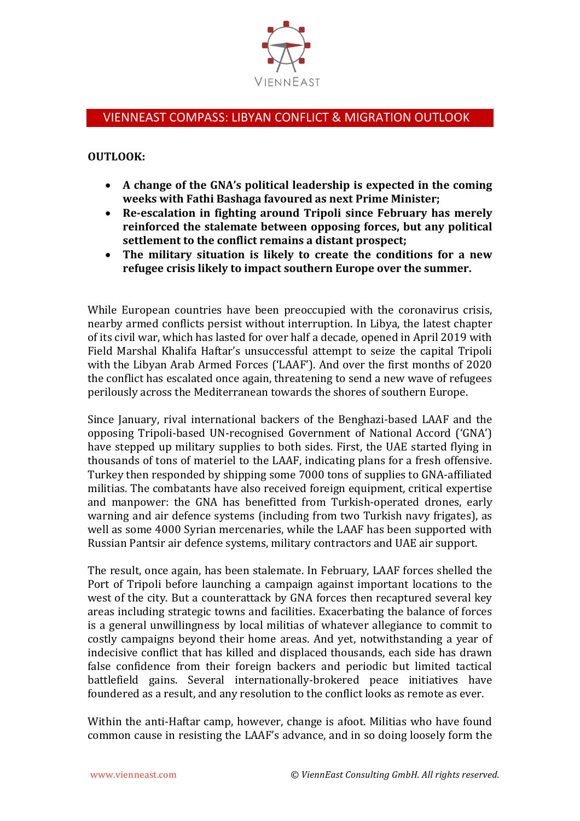

## VIENNEAST COMPASS: LIBYAN CONFLICT & MIGRATION OUTLOOK

## **OUTLOOK:**

- **A change of the GNA's political leadership is expected in the coming weeks with Fathi Bashaga favoured as next Prime Minister;**
- **Re-escalation in fighting around Tripoli since February has merely reinforced the stalemate between opposing forces, but any political settlement to the conflict remains a distant prospect;**
- **The military situation is likely to create the conditions for a new refugee crisis likely to impact southern Europe over the summer.**

While European countries have been preoccupied with the coronavirus crisis, nearby armed conflicts persist without interruption. In Libya, the latest chapter of its civil war, which has lasted for over half a decade, opened in April 2019 with Field Marshal Khalifa Haftar's unsuccessful attempt to seize the capital Tripoli with the Libyan Arab Armed Forces ('LAAF'). And over the first months of 2020 the conflict has escalated once again, threatening to send a new wave of refugees perilously across the Mediterranean towards the shores of southern Europe.

Since January, rival international backers of the Benghazi-based LAAF and the opposing Tripoli-based UN-recognised Government of National Accord ('GNA') have stepped up military supplies to both sides. First, the UAE started flying in thousands of tons of materiel to the LAAF, indicating plans for a fresh offensive. Turkey then responded by shipping some 7000 tons of supplies to GNA-affiliated militias. The combatants have also received foreign equipment, critical expertise and manpower: the GNA has benefitted from Turkish-operated drones, early warning and air defence systems (including from two Turkish navy frigates), as well as some 4000 Syrian mercenaries, while the LAAF has been supported with Russian Pantsir air defence systems, military contractors and UAE air support.

The result, once again, has been stalemate. In February, LAAF forces shelled the Port of Tripoli before launching a campaign against important locations to the west of the city. But a counterattack by GNA forces then recaptured several key areas including strategic towns and facilities. Exacerbating the balance of forces is a general unwillingness by local militias of whatever allegiance to commit to costly campaigns beyond their home areas. And yet, notwithstanding a year of indecisive conflict that has killed and displaced thousands, each side has drawn false confidence from their foreign backers and periodic but limited tactical battlefield gains. Several internationally-brokered peace initiatives have foundered as a result, and any resolution to the conflict looks as remote as ever.

Within the anti-Haftar camp, however, change is afoot. Militias who have found common cause in resisting the LAAF's advance, and in so doing loosely form the